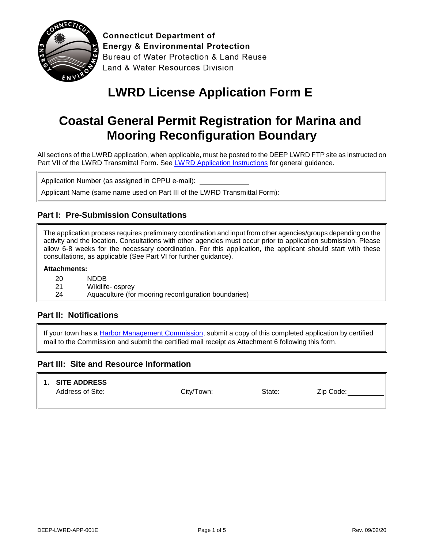

**Connecticut Department of Energy & Environmental Protection** Bureau of Water Protection & Land Reuse Land & Water Resources Division

# **LWRD License Application Form E**

# **Coastal General Permit Registration for Marina and Mooring Reconfiguration Boundary**

All sections of the LWRD application, when applicable, must be posted to the DEEP LWRD FTP site as instructed on Part VII of the LWRD Transmittal Form. See [LWRD Application Instructions](https://www.ct.gov/deep/lib/deep/Permits_and_Licenses/Land_Use_Permits/LWRD/lwrd_inst.pdf) for general guidance.

Application Number (as assigned in CPPU e-mail):

Applicant Name (same name used on Part III of the LWRD Transmittal Form): \_

### **Part I: Pre-Submission Consultations**

The application process requires preliminary coordination and input from other agencies/groups depending on the activity and the location. Consultations with other agencies must occur prior to application submission. Please allow 6-8 weeks for the necessary coordination. For this application, the applicant should start with these consultations, as applicable (See Part VI for further guidance).

#### **Attachments:**

- 20 NDDB
- 21 Wildlife- osprey
- 24 Aquaculture (for mooring reconfiguration boundaries)

#### **Part II: Notifications**

If your town has a [Harbor Management Commission,](https://www.ct.gov/deep/lib/deep/Permits_and_Licenses/Land_Use_Permits/Long_Island_Sound_Permits/harbor_commission.pdf) submit a copy of this completed application by certified mail to the Commission and submit the certified mail receipt as Attachment 6 following this form.

#### **Part III: Site and Resource Information**

#### **1. SITE ADDRESS**

Address of Site: \_\_\_\_\_\_\_\_\_\_\_\_\_\_\_\_\_\_\_\_\_\_City/Town: \_\_\_\_\_\_\_\_\_\_\_\_\_\_\_State: \_\_\_\_\_\_\_\_\_\_\_\_\_Zip Code: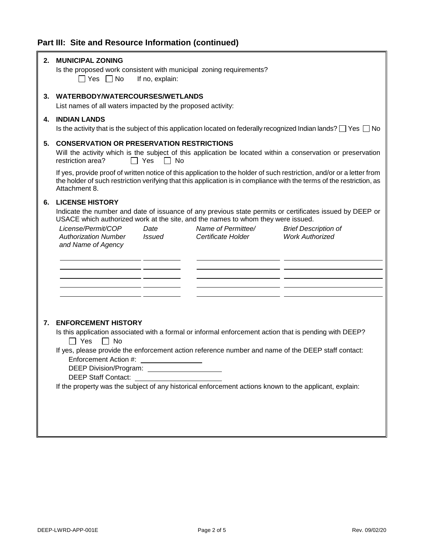## **Part III: Site and Resource Information (continued)**

F

| 2. | <b>MUNICIPAL ZONING</b><br>Is the proposed work consistent with municipal zoning requirements?<br>∩ Yes ∩No<br>If no, explain:                                                                                                                                   |  |  |  |  |
|----|------------------------------------------------------------------------------------------------------------------------------------------------------------------------------------------------------------------------------------------------------------------|--|--|--|--|
| 3. | WATERBODY/WATERCOURSES/WETLANDS<br>List names of all waters impacted by the proposed activity:                                                                                                                                                                   |  |  |  |  |
| 4. | <b>INDIAN LANDS</b><br>Is the activity that is the subject of this application located on federally recognized Indian lands? $\Box$ Yes $\Box$ No                                                                                                                |  |  |  |  |
| 5. | <b>CONSERVATION OR PRESERVATION RESTRICTIONS</b><br>Will the activity which is the subject of this application be located within a conservation or preservation<br>restriction area?<br>$\Box$ Yes<br>$\Box$ No                                                  |  |  |  |  |
|    | If yes, provide proof of written notice of this application to the holder of such restriction, and/or or a letter from<br>the holder of such restriction verifying that this application is in compliance with the terms of the restriction, as<br>Attachment 8. |  |  |  |  |
| 6. | <b>LICENSE HISTORY</b><br>Indicate the number and date of issuance of any previous state permits or certificates issued by DEEP or<br>USACE which authorized work at the site, and the names to whom they were issued.                                           |  |  |  |  |
|    | Name of Permittee/<br>License/Permit/COP<br>Date<br><b>Brief Description of</b><br><b>Authorization Number</b><br><b>Work Authorized</b><br>Issued<br>Certificate Holder<br>and Name of Agency                                                                   |  |  |  |  |
|    |                                                                                                                                                                                                                                                                  |  |  |  |  |
| 7. | <b>ENFORCEMENT HISTORY</b><br>Is this application associated with a formal or informal enforcement action that is pending with DEEP?                                                                                                                             |  |  |  |  |
|    | $\Box$ Yes $\Box$ No<br>If yes, please provide the enforcement action reference number and name of the DEEP staff contact:<br>Enforcement Action #:<br><b>DEEP Staff Contact:</b>                                                                                |  |  |  |  |
|    | If the property was the subject of any historical enforcement actions known to the applicant, explain:                                                                                                                                                           |  |  |  |  |

Ŧ.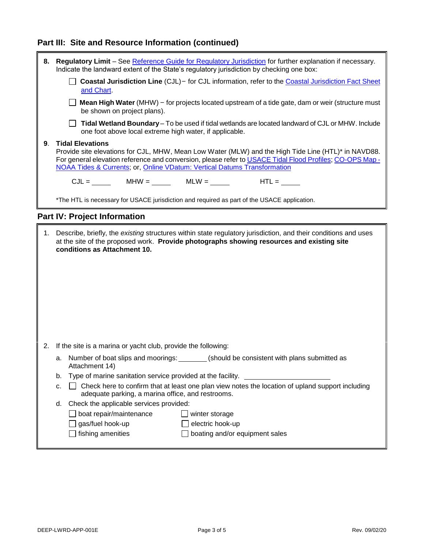## **Part III: Site and Resource Information (continued)**

| 8. | Regulatory Limit - See Reference Guide for Regulatory Jurisdiction for further explanation if necessary.<br>Indicate the landward extent of the State's regulatory jurisdiction by checking one box:                                                                                                                   |  |  |  |  |  |
|----|------------------------------------------------------------------------------------------------------------------------------------------------------------------------------------------------------------------------------------------------------------------------------------------------------------------------|--|--|--|--|--|
|    | <b>Coastal Jurisdiction Line</b> (CJL) - for CJL information, refer to the <b>Coastal Jurisdiction Fact Sheet</b><br>and Chart                                                                                                                                                                                         |  |  |  |  |  |
|    | <b>Nean High Water</b> (MHW) – for projects located upstream of a tide gate, dam or weir (structure must<br>be shown on project plans).                                                                                                                                                                                |  |  |  |  |  |
|    | Tidal Wetland Boundary - To be used if tidal wetlands are located landward of CJL or MHW. Include<br>one foot above local extreme high water, if applicable.                                                                                                                                                           |  |  |  |  |  |
| 9. | <b>Tidal Elevations</b><br>Provide site elevations for CJL, MHW, Mean Low Water (MLW) and the High Tide Line (HTL)* in NAVD88.<br>For general elevation reference and conversion, please refer to USACE Tidal Flood Profiles; CO-OPS Map -<br>NOAA Tides & Currents; or, Online VDatum: Vertical Datums Transformation |  |  |  |  |  |
|    | $HTL =$                                                                                                                                                                                                                                                                                                                |  |  |  |  |  |
|    | *The HTL is necessary for USACE jurisdiction and required as part of the USACE application.                                                                                                                                                                                                                            |  |  |  |  |  |
|    | <b>Part IV: Project Information</b>                                                                                                                                                                                                                                                                                    |  |  |  |  |  |
| 1. | Describe, briefly, the existing structures within state regulatory jurisdiction, and their conditions and uses<br>at the site of the proposed work. Provide photographs showing resources and existing site<br>conditions as Attachment 10.                                                                            |  |  |  |  |  |
| 2. | If the site is a marina or yacht club, provide the following:                                                                                                                                                                                                                                                          |  |  |  |  |  |
|    | a. Number of boat slips and moorings: _______ (should be consistent with plans submitted as<br>Attachment 14)                                                                                                                                                                                                          |  |  |  |  |  |
|    | Type of marine sanitation service provided at the facility.<br>b.                                                                                                                                                                                                                                                      |  |  |  |  |  |
|    | Check here to confirm that at least one plan view notes the location of upland support including<br>c.<br>adequate parking, a marina office, and restrooms.                                                                                                                                                            |  |  |  |  |  |
|    | Check the applicable services provided:<br>d.                                                                                                                                                                                                                                                                          |  |  |  |  |  |
|    | boat repair/maintenance<br>winter storage                                                                                                                                                                                                                                                                              |  |  |  |  |  |
|    | gas/fuel hook-up<br>electric hook-up                                                                                                                                                                                                                                                                                   |  |  |  |  |  |
|    | fishing amenities<br>boating and/or equipment sales                                                                                                                                                                                                                                                                    |  |  |  |  |  |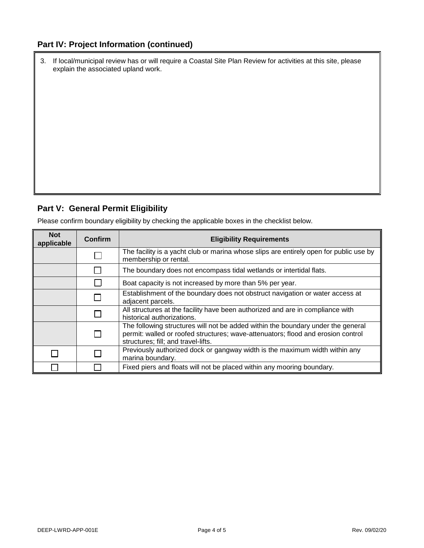### **Part IV: Project Information (continued)**

| 3. If local/municipal review has or will require a Coastal Site Plan Review for activities at this site, please |
|-----------------------------------------------------------------------------------------------------------------|
| explain the associated upland work.                                                                             |

## **Part V: General Permit Eligibility**

Please confirm boundary eligibility by checking the applicable boxes in the checklist below.

| <b>Not</b><br>applicable | Confirm | <b>Eligibility Requirements</b>                                                                                                                                                                             |
|--------------------------|---------|-------------------------------------------------------------------------------------------------------------------------------------------------------------------------------------------------------------|
|                          |         | The facility is a yacht club or marina whose slips are entirely open for public use by<br>membership or rental.                                                                                             |
|                          |         | The boundary does not encompass tidal wetlands or intertidal flats.                                                                                                                                         |
|                          |         | Boat capacity is not increased by more than 5% per year.                                                                                                                                                    |
|                          |         | Establishment of the boundary does not obstruct navigation or water access at<br>adjacent parcels.                                                                                                          |
|                          |         | All structures at the facility have been authorized and are in compliance with<br>historical authorizations.                                                                                                |
|                          |         | The following structures will not be added within the boundary under the general<br>permit: walled or roofed structures; wave-attenuators; flood and erosion control<br>structures; fill; and travel-lifts. |
|                          |         | Previously authorized dock or gangway width is the maximum width within any<br>marina boundary.                                                                                                             |
|                          |         | Fixed piers and floats will not be placed within any mooring boundary.                                                                                                                                      |